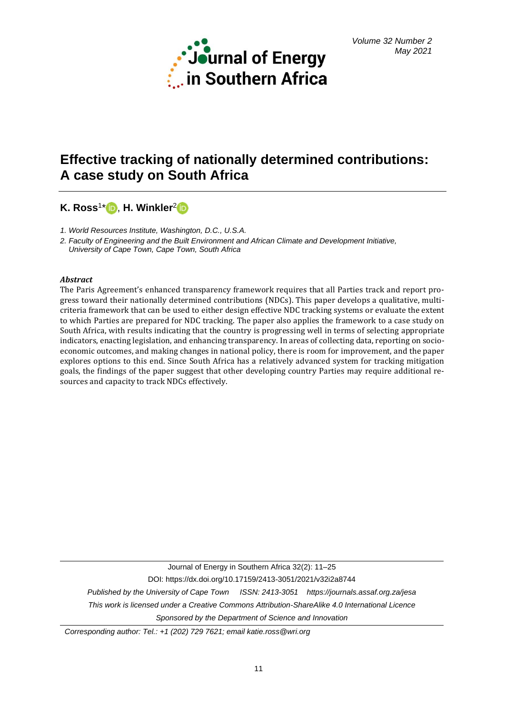

# **Effective tracking of nationally determined contributions: A case study on South Africa**

# **K. Ross**<sup>1</sup> \* [,](https://orcid.org/0000-0001-9399-3301) **H. Winkler**[2](https://orcid.org/0000-0002-5826-4071)

*1. World Resources Institute, Washington, D.C., U.S.A.*

*2. Faculty of Engineering and the Built Environment and African Climate and Development Initiative,* 

 *University of Cape Town, Cape Town, South Africa*

## *Abstract*

The Paris Agreement's enhanced transparency framework requires that all Parties track and report progress toward their nationally determined contributions (NDCs). This paper develops a qualitative, multicriteria framework that can be used to either design effective NDC tracking systems or evaluate the extent to which Parties are prepared for NDC tracking. The paper also applies the framework to a case study on South Africa, with results indicating that the country is progressing well in terms of selecting appropriate indicators, enacting legislation, and enhancing transparency. In areas of collecting data, reporting on socioeconomic outcomes, and making changes in national policy, there is room for improvement, and the paper explores options to this end. Since South Africa has a relatively advanced system for tracking mitigation goals, the findings of the paper suggest that other developing country Parties may require additional resources and capacity to track NDCs effectively.

Journal of Energy in Southern Africa 32(2): 11–25 DOI: https://dx.doi.org/10.17159/2413-3051/2021/v32i2a8744 *Published by the University of Cape Town ISSN: 2413-3051 https://journals.assaf.org.za/jesa This work is licensed under a Creative Commons Attribution-ShareAlike 4.0 Internationa[l Licence](https://creativecommons.org/licenses/by-sa/4.0/) Sponsored by the Department of Science and Innovation*

*Corresponding author: Tel.: +1 (202) 729 7621; email katie.ross@wri.org*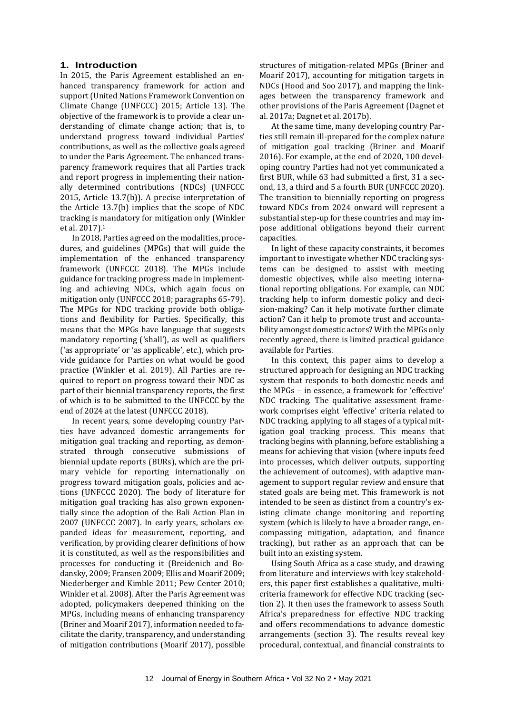## **1. Introduction**

In 2015, the Paris Agreement established an enhanced transparency framework for action and support (United Nations Framework Convention on Climate Change (UNFCCC) 2015; Article 13). The objective of the framework is to provide a clear understanding of climate change action; that is, to understand progress toward individual Parties' contributions, as well as the collective goals agreed to under the Paris Agreement. The enhanced transparency framework requires that all Parties track and report progress in implementing their nationally determined contributions (NDCs) (UNFCCC 2015, Article 13.7(b)). A precise interpretation of the Article 13.7(b) implies that the scope of NDC tracking is mandatory for mitigation only (Winkler et al. 2017).<sup>1</sup>

In 2018, Parties agreed on the modalities, procedures, and guidelines (MPGs) that will guide the implementation of the enhanced transparency framework (UNFCCC 2018). The MPGs include guidance for tracking progress made in implementing and achieving NDCs, which again focus on mitigation only (UNFCCC 2018; paragraphs 65-79). The MPGs for NDC tracking provide both obligations and flexibility for Parties. Specifically, this means that the MPGs have language that suggests mandatory reporting ('shall'), as well as qualifiers ('as appropriate' or 'as applicable', etc.), which provide guidance for Parties on what would be good practice (Winkler et al. 2019). All Parties are required to report on progress toward their NDC as part of their biennial transparency reports, the first of which is to be submitted to the UNFCCC by the end of 2024 at the latest (UNFCCC 2018).

In recent years, some developing country Parties have advanced domestic arrangements for mitigation goal tracking and reporting, as demonstrated through consecutive submissions of biennial update reports (BURs), which are the primary vehicle for reporting internationally on progress toward mitigation goals, policies and actions (UNFCCC 2020). The body of literature for mitigation goal tracking has also grown exponentially since the adoption of the Bali Action Plan in 2007 (UNFCCC 2007). In early years, scholars expanded ideas for measurement, reporting, and verification, by providing clearer definitions of how it is constituted, as well as the responsibilities and processes for conducting it (Breidenich and Bodansky, 2009; Fransen 2009; Ellis and Moarif 2009; Niederberger and Kimble 2011; Pew Center 2010; Winkler et al. 2008). After the Paris Agreement was adopted, policymakers deepened thinking on the MPGs, including means of enhancing transparency (Briner and Moarif 2017), information needed to facilitate the clarity, transparency, and understanding of mitigation contributions (Moarif 2017), possible

structures of mitigation-related MPGs (Briner and Moarif 2017), accounting for mitigation targets in NDCs (Hood and Soo 2017), and mapping the linkages between the transparency framework and other provisions of the Paris Agreement (Dagnet et al. 2017a; Dagnet et al. 2017b).

At the same time, many developing country Parties still remain ill-prepared for the complex nature of mitigation goal tracking (Briner and Moarif 2016). For example, at the end of 2020, 100 developing country Parties had not yet communicated a first BUR, while 63 had submitted a first, 31 a second, 13, a third and 5 a fourth BUR (UNFCCC 2020). The transition to biennially reporting on progress toward NDCs from 2024 onward will represent a substantial step-up for these countries and may impose additional obligations beyond their current capacities.

In light of these capacity constraints, it becomes important to investigate whether NDC tracking systems can be designed to assist with meeting domestic objectives, while also meeting international reporting obligations. For example, can NDC tracking help to inform domestic policy and decision-making? Can it help motivate further climate action? Can it help to promote trust and accountability amongst domestic actors? With the MPGs only recently agreed, there is limited practical guidance available for Parties.

In this context, this paper aims to develop a structured approach for designing an NDC tracking system that responds to both domestic needs and the MPGs – in essence, a framework for 'effective' NDC tracking. The qualitative assessment framework comprises eight 'effective' criteria related to NDC tracking, applying to all stages of a typical mitigation goal tracking process. This means that tracking begins with planning, before establishing a means for achieving that vision (where inputs feed into processes, which deliver outputs, supporting the achievement of outcomes), with adaptive management to support regular review and ensure that stated goals are being met. This framework is not intended to be seen as distinct from a country's existing climate change monitoring and reporting system (which is likely to have a broader range, encompassing mitigation, adaptation, and finance tracking), but rather as an approach that can be built into an existing system.

Using South Africa as a case study, and drawing from literature and interviews with key stakeholders, this paper first establishes a qualitative, multicriteria framework for effective NDC tracking (section 2). It then uses the framework to assess South Africa's preparedness for effective NDC tracking and offers recommendations to advance domestic arrangements (section 3). The results reveal key procedural, contextual, and financial constraints to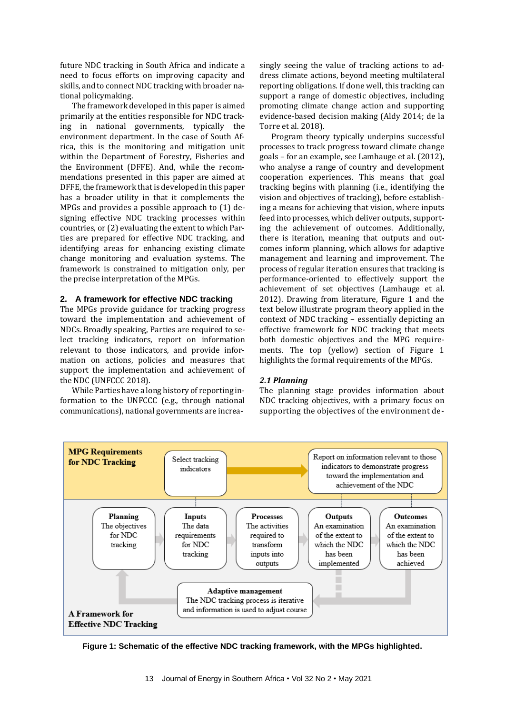future NDC tracking in South Africa and indicate a need to focus efforts on improving capacity and skills, and to connect NDC tracking with broader national policymaking.

The framework developed in this paper is aimed primarily at the entities responsible for NDC tracking in national governments, typically the environment department. In the case of South Africa, this is the monitoring and mitigation unit within the Department of Forestry, Fisheries and the Environment (DFFE). And, while the recommendations presented in this paper are aimed at DFFE, the framework that is developed in this paper has a broader utility in that it complements the MPGs and provides a possible approach to (1) designing effective NDC tracking processes within countries, or (2) evaluating the extent to which Parties are prepared for effective NDC tracking, and identifying areas for enhancing existing climate change monitoring and evaluation systems. The framework is constrained to mitigation only, per the precise interpretation of the MPGs.

#### **2. A framework for effective NDC tracking**

The MPGs provide guidance for tracking progress toward the implementation and achievement of NDCs. Broadly speaking, Parties are required to select tracking indicators, report on information relevant to those indicators, and provide information on actions, policies and measures that support the implementation and achievement of the NDC (UNFCCC 2018).

While Parties have a long history of reporting information to the UNFCCC (e.g., through national communications), national governments are increasingly seeing the value of tracking actions to address climate actions, beyond meeting multilateral reporting obligations. If done well, this tracking can support a range of domestic objectives, including promoting climate change action and supporting evidence-based decision making (Aldy 2014; de la Torre et al. 2018).

Program theory typically underpins successful processes to track progress toward climate change goals – for an example, see Lamhauge et al. (2012), who analyse a range of country and development cooperation experiences. This means that goal tracking begins with planning (i.e., identifying the vision and objectives of tracking), before establishing a means for achieving that vision, where inputs feed into processes, which deliver outputs, supporting the achievement of outcomes. Additionally, there is iteration, meaning that outputs and outcomes inform planning, which allows for adaptive management and learning and improvement. The process of regular iteration ensures that tracking is performance-oriented to effectively support the achievement of set objectives (Lamhauge et al. 2012). Drawing from literature, Figure 1 and the text below illustrate program theory applied in the context of NDC tracking – essentially depicting an effective framework for NDC tracking that meets both domestic objectives and the MPG requirements. The top (yellow) section of Figure 1 highlights the formal requirements of the MPGs.

#### *2.1 Planning*

The planning stage provides information about NDC tracking objectives, with a primary focus on supporting the objectives of the environment de-



**Figure 1: Schematic of the effective NDC tracking framework, with the MPGs highlighted.**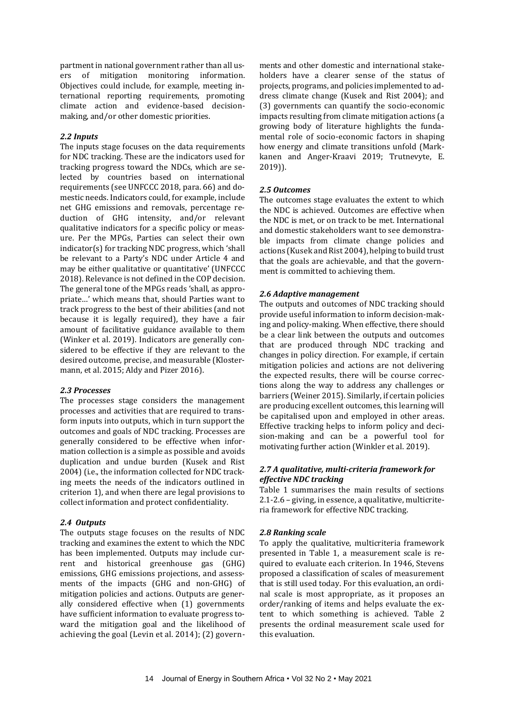partment in national government rather than all users of mitigation monitoring information. Objectives could include, for example, meeting international reporting requirements, promoting climate action and evidence-based decisionmaking, and/or other domestic priorities.

## *2.2 Inputs*

The inputs stage focuses on the data requirements for NDC tracking. These are the indicators used for tracking progress toward the NDCs, which are selected by countries based on international requirements (see UNFCCC 2018, para. 66) and domestic needs. Indicators could, for example, include net GHG emissions and removals, percentage reduction of GHG intensity, and/or relevant qualitative indicators for a specific policy or measure. Per the MPGs, Parties can select their own indicator(s) for tracking NDC progress, which 'shall be relevant to a Party's NDC under Article 4 and may be either qualitative or quantitative' (UNFCCC 2018). Relevance is not defined in the COP decision. The general tone of the MPGs reads 'shall, as appropriate…' which means that, should Parties want to track progress to the best of their abilities (and not because it is legally required), they have a fair amount of facilitative guidance available to them (Winker et al. 2019). Indicators are generally considered to be effective if they are relevant to the desired outcome, precise, and measurable (Klostermann, et al. 2015; Aldy and Pizer 2016).

#### *2.3 Processes*

The processes stage considers the management processes and activities that are required to transform inputs into outputs, which in turn support the outcomes and goals of NDC tracking. Processes are generally considered to be effective when information collection is a simple as possible and avoids duplication and undue burden (Kusek and Rist 2004) (i.e., the information collected for NDC tracking meets the needs of the indicators outlined in criterion 1), and when there are legal provisions to collect information and protect confidentiality.

#### *2.4 Outputs*

The outputs stage focuses on the results of NDC tracking and examines the extent to which the NDC has been implemented. Outputs may include current and historical greenhouse gas (GHG) emissions, GHG emissions projections, and assessments of the impacts (GHG and non-GHG) of mitigation policies and actions. Outputs are generally considered effective when (1) governments have sufficient information to evaluate progress toward the mitigation goal and the likelihood of achieving the goal (Levin et al. 2014); (2) governments and other domestic and international stakeholders have a clearer sense of the status of projects, programs, and policies implemented to address climate change (Kusek and Rist 2004); and (3) governments can quantify the socio-economic impacts resulting from climate mitigation actions (a growing body of literature highlights the fundamental role of socio-economic factors in shaping how energy and climate transitions unfold (Markkanen and Anger-Kraavi 2019; Trutnevyte, E. 2019)).

#### *2.5 Outcomes*

The outcomes stage evaluates the extent to which the NDC is achieved. Outcomes are effective when the NDC is met, or on track to be met. International and domestic stakeholders want to see demonstrable impacts from climate change policies and actions (Kusek and Rist 2004), helping to build trust that the goals are achievable, and that the government is committed to achieving them.

#### *2.6 Adaptive management*

The outputs and outcomes of NDC tracking should provide useful information to inform decision-making and policy-making. When effective, there should be a clear link between the outputs and outcomes that are produced through NDC tracking and changes in policy direction. For example, if certain mitigation policies and actions are not delivering the expected results, there will be course corrections along the way to address any challenges or barriers (Weiner 2015). Similarly, if certain policies are producing excellent outcomes, this learning will be capitalised upon and employed in other areas. Effective tracking helps to inform policy and decision-making and can be a powerful tool for motivating further action (Winkler et al. 2019).

## *2.7 A qualitative, multi-criteria framework for effective NDC tracking*

Table 1 summarises the main results of sections 2.1-2.6 – giving, in essence, a qualitative, multicriteria framework for effective NDC tracking.

#### *2.8 Ranking scale*

To apply the qualitative, multicriteria framework presented in Table 1, a measurement scale is required to evaluate each criterion. In 1946, Stevens proposed a classification of scales of measurement that is still used today. For this evaluation, an ordinal scale is most appropriate, as it proposes an order/ranking of items and helps evaluate the extent to which something is achieved. Table 2 presents the ordinal measurement scale used for this evaluation.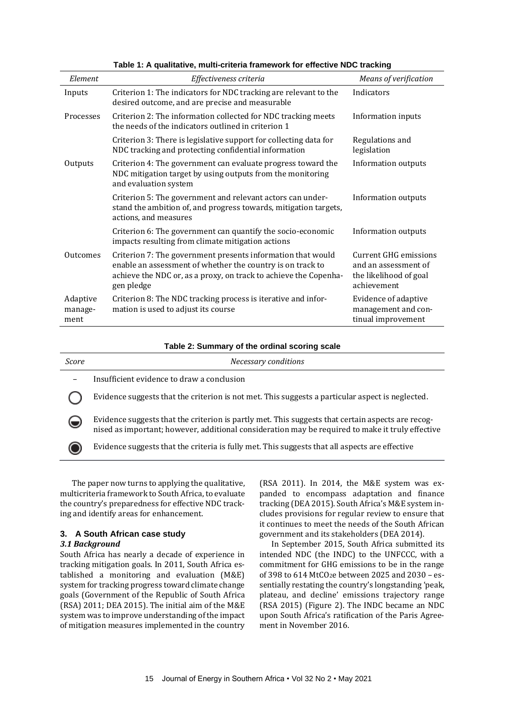| Element                     | Effectiveness criteria                                                                                                                                                                                      | Means of verification                                                                         |
|-----------------------------|-------------------------------------------------------------------------------------------------------------------------------------------------------------------------------------------------------------|-----------------------------------------------------------------------------------------------|
| Inputs                      | Criterion 1: The indicators for NDC tracking are relevant to the<br>desired outcome, and are precise and measurable                                                                                         | Indicators                                                                                    |
| Processes                   | Criterion 2: The information collected for NDC tracking meets<br>the needs of the indicators outlined in criterion 1                                                                                        | Information inputs                                                                            |
|                             | Criterion 3: There is legislative support for collecting data for<br>NDC tracking and protecting confidential information                                                                                   | Regulations and<br>legislation                                                                |
| Outputs                     | Criterion 4: The government can evaluate progress toward the<br>NDC mitigation target by using outputs from the monitoring<br>and evaluation system                                                         | <b>Information outputs</b>                                                                    |
|                             | Criterion 5: The government and relevant actors can under-<br>stand the ambition of, and progress towards, mitigation targets,<br>actions, and measures                                                     | Information outputs                                                                           |
|                             | Criterion 6: The government can quantify the socio-economic<br>impacts resulting from climate mitigation actions                                                                                            | <b>Information outputs</b>                                                                    |
| Outcomes                    | Criterion 7: The government presents information that would<br>enable an assessment of whether the country is on track to<br>achieve the NDC or, as a proxy, on track to achieve the Copenha-<br>gen pledge | <b>Current GHG emissions</b><br>and an assessment of<br>the likelihood of goal<br>achievement |
| Adaptive<br>manage-<br>ment | Criterion 8: The NDC tracking process is iterative and infor-<br>mation is used to adjust its course                                                                                                        | Evidence of adaptive<br>management and con-<br>tinual improvement                             |

**Table 1: A qualitative, multi-criteria framework for effective NDC tracking**

**Table 2: Summary of the ordinal scoring scale**

| Score | Necessary conditions                                                                                                                                                                                  |
|-------|-------------------------------------------------------------------------------------------------------------------------------------------------------------------------------------------------------|
| -     | Insufficient evidence to draw a conclusion                                                                                                                                                            |
|       | Evidence suggests that the criterion is not met. This suggests a particular aspect is neglected.                                                                                                      |
| ⊌     | Evidence suggests that the criterion is partly met. This suggests that certain aspects are recog-<br>nised as important; however, additional consideration may be required to make it truly effective |
|       | Evidence suggests that the criteria is fully met. This suggests that all aspects are effective                                                                                                        |
|       |                                                                                                                                                                                                       |

The paper now turns to applying the qualitative, multicriteria framework to South Africa, to evaluate the country's preparedness for effective NDC tracking and identify areas for enhancement.

# **3. A South African case study**

# *3.1 Background*

South Africa has nearly a decade of experience in tracking mitigation goals. In 2011, South Africa established a monitoring and evaluation (M&E) system for tracking progress toward climate change goals (Government of the Republic of South Africa (RSA) 2011; DEA 2015). The initial aim of the M&E system was to improve understanding of the impact of mitigation measures implemented in the country

(RSA 2011). In 2014, the M&E system was expanded to encompass adaptation and finance tracking (DEA 2015). South Africa's M&E system includes provisions for regular review to ensure that it continues to meet the needs of the South African government and its stakeholders (DEA 2014).

In September 2015, South Africa submitted its intended NDC (the INDC) to the UNFCCC, with a commitment for GHG emissions to be in the range of 398 to 614 MtCO<sub>2</sub>e between 2025 and 2030 - essentially restating the country's longstanding 'peak, plateau, and decline' emissions trajectory range (RSA 2015) (Figure 2). The INDC became an NDC upon South Africa's ratification of the Paris Agreement in November 2016.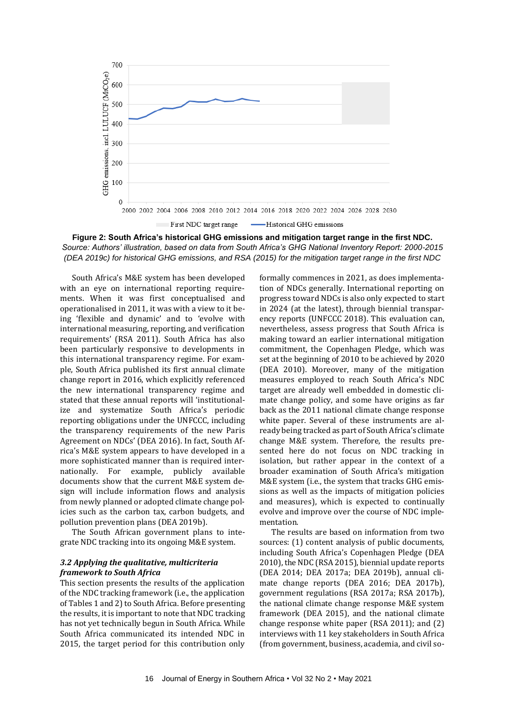

**Figure 2: South Africa's historical GHG emissions and mitigation target range in the first NDC.** *Source: Authors' illustration, based on data from South Africa's GHG National Inventory Report: 2000-2015 (DEA 2019c) for historical GHG emissions, and RSA (2015) for the mitigation target range in the first NDC*

South Africa's M&E system has been developed with an eye on international reporting requirements. When it was first conceptualised and operationalised in 2011, it was with a view to it being 'flexible and dynamic' and to 'evolve with international measuring, reporting, and verification requirements' (RSA 2011). South Africa has also been particularly responsive to developments in this international transparency regime. For example, South Africa published its first annual climate change report in 2016, which explicitly referenced the new international transparency regime and stated that these annual reports will 'institutionalize and systematize South Africa's periodic reporting obligations under the UNFCCC, including the transparency requirements of the new Paris Agreement on NDCs' (DEA 2016). In fact, South Africa's M&E system appears to have developed in a more sophisticated manner than is required internationally. For example, publicly available documents show that the current M&E system design will include information flows and analysis from newly planned or adopted climate change policies such as the carbon tax, carbon budgets, and pollution prevention plans (DEA 2019b).

The South African government plans to integrate NDC tracking into its ongoing M&E system.

#### *3.2 Applying the qualitative, multicriteria framework to South Africa*

This section presents the results of the application of the NDC tracking framework (i.e., the application of Tables 1 and 2) to South Africa. Before presenting the results, it is important to note that NDC tracking has not yet technically begun in South Africa. While South Africa communicated its intended NDC in 2015, the target period for this contribution only

formally commences in 2021, as does implementation of NDCs generally. International reporting on progress toward NDCs is also only expected to start in 2024 (at the latest), through biennial transparency reports (UNFCCC 2018). This evaluation can, nevertheless, assess progress that South Africa is making toward an earlier international mitigation commitment, the Copenhagen Pledge, which was set at the beginning of 2010 to be achieved by 2020 (DEA 2010). Moreover, many of the mitigation measures employed to reach South Africa's NDC target are already well embedded in domestic climate change policy, and some have origins as far back as the 2011 national climate change response white paper. Several of these instruments are already being tracked as part of South Africa's climate change M&E system. Therefore, the results presented here do not focus on NDC tracking in isolation, but rather appear in the context of a broader examination of South Africa's mitigation M&E system (i.e., the system that tracks GHG emissions as well as the impacts of mitigation policies and measures), which is expected to continually evolve and improve over the course of NDC implementation.

The results are based on information from two sources: (1) content analysis of public documents, including South Africa's Copenhagen Pledge (DEA 2010), the NDC (RSA 2015), biennial update reports (DEA 2014; DEA 2017a; DEA 2019b), annual climate change reports (DEA 2016; DEA 2017b), government regulations (RSA 2017a; RSA 2017b), the national climate change response M&E system framework (DEA 2015), and the national climate change response white paper (RSA 2011); and (2) interviews with 11 key stakeholders in South Africa (from government, business, academia, and civil so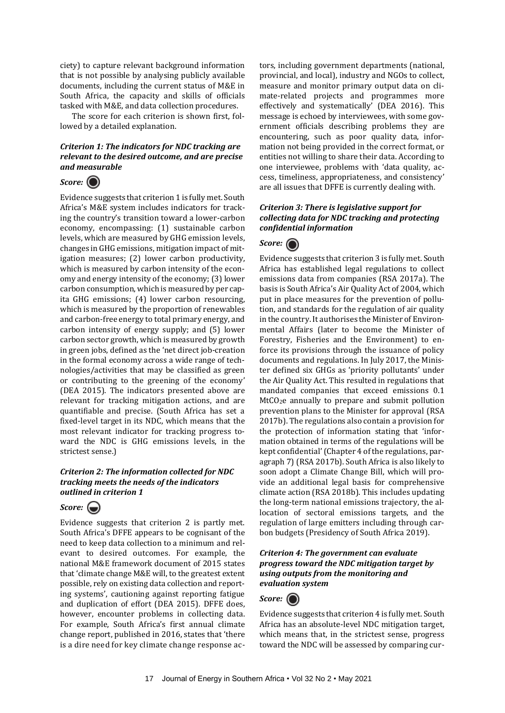ciety) to capture relevant background information that is not possible by analysing publicly available documents, including the current status of M&E in South Africa, the capacity and skills of officials tasked with M&E, and data collection procedures.

The score for each criterion is shown first, followed by a detailed explanation.

# *Criterion 1: The indicators for NDC tracking are relevant to the desired outcome, and are precise and measurable*

# *Score:*

Evidence suggests that criterion 1 is fully met. South Africa's M&E system includes indicators for tracking the country's transition toward a lower-carbon economy, encompassing: (1) sustainable carbon levels, which are measured by GHG emission levels, changes in GHG emissions, mitigation impact of mitigation measures; (2) lower carbon productivity, which is measured by carbon intensity of the economy and energy intensity of the economy; (3) lower carbon consumption, which is measured by per capita GHG emissions; (4) lower carbon resourcing, which is measured by the proportion of renewables and carbon-free energy to total primary energy, and carbon intensity of energy supply; and (5) lower carbon sector growth, which is measured by growth in green jobs, defined as the 'net direct job-creation in the formal economy across a wide range of technologies/activities that may be classified as green or contributing to the greening of the economy' (DEA 2015). The indicators presented above are relevant for tracking mitigation actions, and are quantifiable and precise. (South Africa has set a fixed-level target in its NDC, which means that the most relevant indicator for tracking progress toward the NDC is GHG emissions levels, in the strictest sense.)

## *Criterion 2: The information collected for NDC tracking meets the needs of the indicators outlined in criterion 1*

# *Score:*

Evidence suggests that criterion 2 is partly met. South Africa's DFFE appears to be cognisant of the need to keep data collection to a minimum and relevant to desired outcomes. For example, the national M&E framework document of 2015 states that 'climate change M&E will, to the greatest extent possible, rely on existing data collection and reporting systems', cautioning against reporting fatigue and duplication of effort (DEA 2015). DFFE does, however, encounter problems in collecting data. For example, South Africa's first annual climate change report, published in 2016, states that 'there is a dire need for key climate change response actors, including government departments (national, provincial, and local), industry and NGOs to collect, measure and monitor primary output data on climate-related projects and programmes more effectively and systematically' (DEA 2016). This message is echoed by interviewees, with some government officials describing problems they are encountering, such as poor quality data, information not being provided in the correct format, or entities not willing to share their data. According to one interviewee, problems with 'data quality, access, timeliness, appropriateness, and consistency' are all issues that DFFE is currently dealing with.

## *Criterion 3: There is legislative support for collecting data for NDC tracking and protecting confidential information*

# *Score:*

Evidence suggests that criterion 3 is fully met. South Africa has established legal regulations to collect emissions data from companies (RSA 2017a). The basis is South Africa's Air Quality Act of 2004, which put in place measures for the prevention of pollution, and standards for the regulation of air quality in the country. It authorises the Minister of Environmental Affairs (later to become the Minister of Forestry, Fisheries and the Environment) to enforce its provisions through the issuance of policy documents and regulations. In July 2017, the Minister defined six GHGs as 'priority pollutants' under the Air Quality Act. This resulted in regulations that mandated companies that exceed emissions 0.1 MtCO2e annually to prepare and submit pollution prevention plans to the Minister for approval (RSA 2017b). The regulations also contain a provision for the protection of information stating that 'information obtained in terms of the regulations will be kept confidential'(Chapter 4 of the regulations, paragraph 7) (RSA 2017b). South Africa is also likely to soon adopt a Climate Change Bill, which will provide an additional legal basis for comprehensive climate action (RSA 2018b). This includes updating the long-term national emissions trajectory, the allocation of sectoral emissions targets, and the regulation of large emitters including through carbon budgets (Presidency of South Africa 2019).

## *Criterion 4: The government can evaluate progress toward the NDC mitigation target by using outputs from the monitoring and evaluation system*



Evidence suggests that criterion 4 is fully met. South Africa has an absolute-level NDC mitigation target, which means that, in the strictest sense, progress toward the NDC will be assessed by comparing cur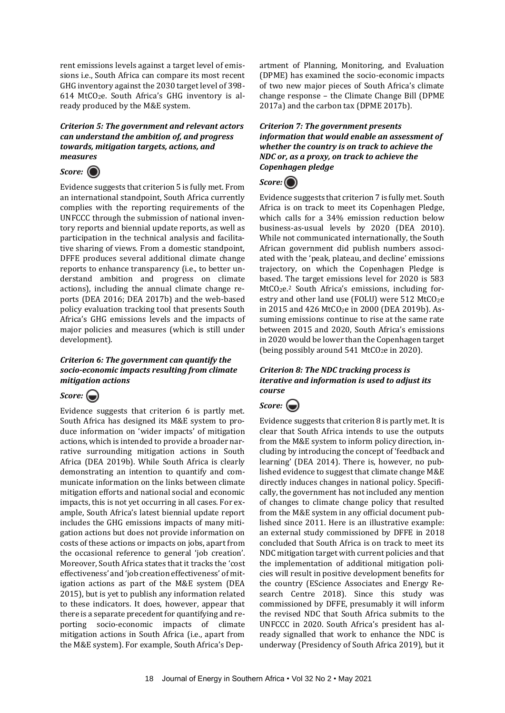rent emissions levels against a target level of emissions i.e., South Africa can compare its most recent GHG inventory against the 2030 target level of 398- 614 MtCO2e. South Africa's GHG inventory is already produced by the M&E system.

## *Criterion 5: The government and relevant actors can understand the ambition of, and progress towards, mitigation targets, actions, and measures*



Evidence suggests that criterion 5 is fully met. From an international standpoint, South Africa currently complies with the reporting requirements of the UNFCCC through the submission of national inventory reports and biennial update reports, as well as participation in the technical analysis and facilitative sharing of views. From a domestic standpoint, DFFE produces several additional climate change reports to enhance transparency (i.e., to better understand ambition and progress on climate actions), including the annual climate change reports (DEA 2016; DEA 2017b) and the web-based policy evaluation tracking tool that presents South Africa's GHG emissions levels and the impacts of major policies and measures (which is still under development).

# *Criterion 6: The government can quantify the socio-economic impacts resulting from climate mitigation actions*

# *Score:*

Evidence suggests that criterion 6 is partly met. South Africa has designed its M&E system to produce information on 'wider impacts' of mitigation actions, which is intended to provide a broader narrative surrounding mitigation actions in South Africa (DEA 2019b). While South Africa is clearly demonstrating an intention to quantify and communicate information on the links between climate mitigation efforts and national social and economic impacts, this is not yet occurring in all cases. For example, South Africa's latest biennial update report includes the GHG emissions impacts of many mitigation actions but does not provide information on costs of these actions or impacts on jobs, apart from the occasional reference to general 'job creation'. Moreover, South Africa states that it tracks the 'cost effectiveness' and 'job creation effectiveness' of mitigation actions as part of the M&E system (DEA 2015), but is yet to publish any information related to these indicators. It does, however, appear that there is a separate precedent for quantifying and reporting socio-economic impacts of climate mitigation actions in South Africa (i.e., apart from the M&E system). For example, South Africa's Department of Planning, Monitoring, and Evaluation (DPME) has examined the socio-economic impacts of two new major pieces of South Africa's climate change response – the Climate Change Bill (DPME 2017a) and the carbon tax (DPME 2017b).

*Criterion 7: The government presents information that would enable an assessment of whether the country is on track to achieve the NDC or, as a proxy, on track to achieve the Copenhagen pledge*



Evidence suggests that criterion 7 is fully met. South Africa is on track to meet its Copenhagen Pledge, which calls for a 34% emission reduction below business-as-usual levels by 2020 (DEA 2010). While not communicated internationally, the South African government did publish numbers associated with the 'peak, plateau, and decline' emissions trajectory, on which the Copenhagen Pledge is based. The target emissions level for 2020 is 583 MtCO<sub>2</sub>e.<sup>2</sup> South Africa's emissions, including forestry and other land use (FOLU) were 512 MtCO<sub>2</sub>e in 2015 and 426 MtCO2e in 2000 (DEA 2019b). Assuming emissions continue to rise at the same rate between 2015 and 2020, South Africa's emissions in 2020 would be lower than the Copenhagen target (being possibly around 541 MtCO<sub>2</sub>e in 2020).

# *Criterion 8: The NDC tracking process is iterative and information is used to adjust its course*



Evidence suggests that criterion 8 is partly met. It is clear that South Africa intends to use the outputs from the M&E system to inform policy direction, including by introducing the concept of 'feedback and learning' (DEA 2014). There is, however, no published evidence to suggest that climate change M&E directly induces changes in national policy. Specifically, the government has not included any mention of changes to climate change policy that resulted from the M&E system in any official document published since 2011. Here is an illustrative example: an external study commissioned by DFFE in 2018 concluded that South Africa is on track to meet its NDC mitigation target with current policies and that the implementation of additional mitigation policies will result in positive development benefits for the country (EScience Associates and Energy Research Centre 2018). Since this study was commissioned by DFFE, presumably it will inform the revised NDC that South Africa submits to the UNFCCC in 2020. South Africa's president has already signalled that work to enhance the NDC is underway (Presidency of South Africa 2019), but it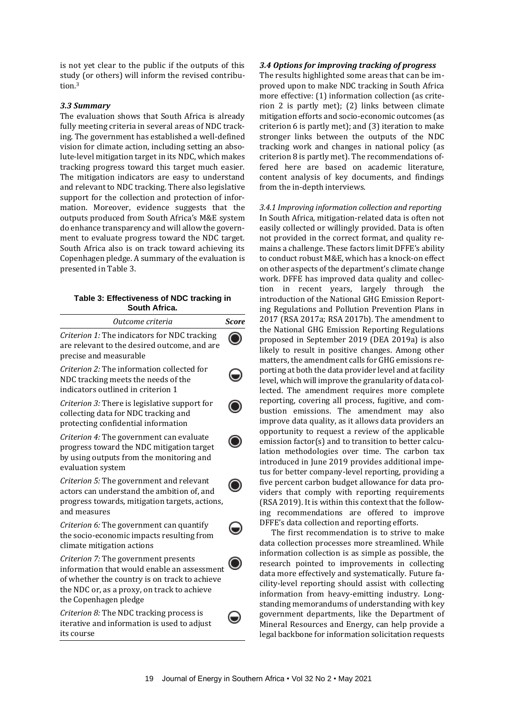is not yet clear to the public if the outputs of this study (or others) will inform the revised contribution.<sup>3</sup>

## *3.3 Summary*

The evaluation shows that South Africa is already fully meeting criteria in several areas of NDC tracking. The government has established a well-defined vision for climate action, including setting an absolute-level mitigation target in its NDC, which makes tracking progress toward this target much easier. The mitigation indicators are easy to understand and relevant to NDC tracking. There also legislative support for the collection and protection of information. Moreover, evidence suggests that the outputs produced from South Africa's M&E system do enhance transparency and will allow the government to evaluate progress toward the NDC target. South Africa also is on track toward achieving its Copenhagen pledge. A summary of the evaluation is presented in Table 3.

#### **Table 3: Effectiveness of NDC tracking in South Africa.**

| Outcome criteria                                                                                                                                                                                             | <b>Score</b> |
|--------------------------------------------------------------------------------------------------------------------------------------------------------------------------------------------------------------|--------------|
| Criterion 1: The indicators for NDC tracking<br>are relevant to the desired outcome, and are<br>precise and measurable                                                                                       |              |
| Criterion 2: The information collected for<br>NDC tracking meets the needs of the<br>indicators outlined in criterion 1                                                                                      |              |
| Criterion 3: There is legislative support for<br>collecting data for NDC tracking and<br>protecting confidential information                                                                                 |              |
| Criterion 4: The government can evaluate<br>progress toward the NDC mitigation target<br>by using outputs from the monitoring and<br>evaluation system                                                       |              |
| Criterion 5: The government and relevant<br>actors can understand the ambition of, and<br>progress towards, mitigation targets, actions,<br>and measures                                                     |              |
| Criterion 6: The government can quantify<br>the socio-economic impacts resulting from<br>climate mitigation actions                                                                                          |              |
| Criterion 7: The government presents<br>information that would enable an assessment<br>of whether the country is on track to achieve<br>the NDC or, as a proxy, on track to achieve<br>the Copenhagen pledge |              |
| Criterion 8: The NDC tracking process is<br>iterative and information is used to adjust<br>its course                                                                                                        |              |

# *3.4 Options for improving tracking of progress*

The results highlighted some areas that can be improved upon to make NDC tracking in South Africa more effective: (1) information collection (as criterion 2 is partly met); (2) links between climate mitigation efforts and socio-economic outcomes (as criterion 6 is partly met); and (3) iteration to make stronger links between the outputs of the NDC tracking work and changes in national policy (as criterion 8 is partly met). The recommendations offered here are based on academic literature, content analysis of key documents, and findings from the in-depth interviews.

# *3.4.1 Improving information collection and reporting*

In South Africa, mitigation-related data is often not easily collected or willingly provided. Data is often not provided in the correct format, and quality remains a challenge. These factors limit DFFE's ability to conduct robust M&E, which has a knock-on effect on other aspects of the department's climate change work. DFFE has improved data quality and collection in recent years, largely through the introduction of the National GHG Emission Reporting Regulations and Pollution Prevention Plans in 2017 (RSA 2017a; RSA 2017b). The amendment to the National GHG Emission Reporting Regulations proposed in September 2019 (DEA 2019a) is also likely to result in positive changes. Among other matters, the amendment calls for GHG emissions reporting at both the data provider level and at facility level, which will improve the granularity of data collected. The amendment requires more complete reporting, covering all process, fugitive, and combustion emissions. The amendment may also improve data quality, as it allows data providers an opportunity to request a review of the applicable emission factor(s) and to transition to better calculation methodologies over time. The carbon tax introduced in June 2019 provides additional impetus for better company-level reporting, providing a five percent carbon budget allowance for data providers that comply with reporting requirements (RSA 2019). It is within this context that the following recommendations are offered to improve DFFE's data collection and reporting efforts.

The first recommendation is to strive to make data collection processes more streamlined. While information collection is as simple as possible, the research pointed to improvements in collecting data more effectively and systematically. Future facility-level reporting should assist with collecting information from heavy-emitting industry. Longstanding memorandums of understanding with key government departments, like the Department of Mineral Resources and Energy, can help provide a legal backbone for information solicitation requests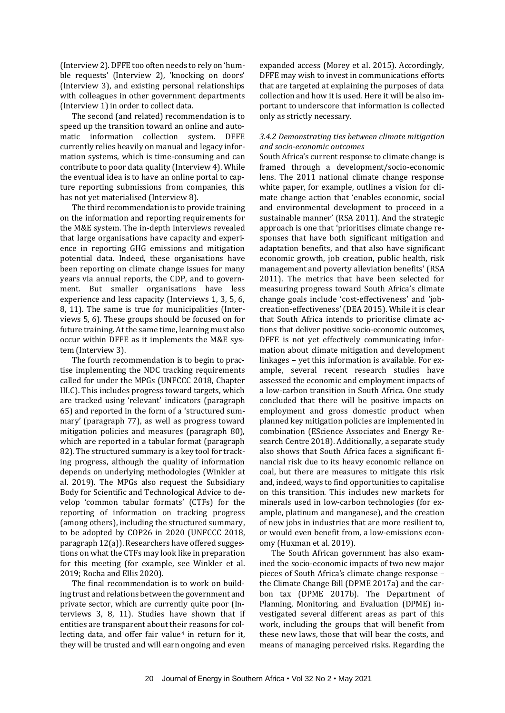(Interview 2). DFFE too often needs to rely on 'humble requests' (Interview 2), 'knocking on doors' (Interview 3), and existing personal relationships with colleagues in other government departments (Interview 1) in order to collect data.

The second (and related) recommendation is to speed up the transition toward an online and automatic information collection system. DFFE currently relies heavily on manual and legacy information systems, which is time-consuming and can contribute to poor data quality (Interview 4). While the eventual idea is to have an online portal to capture reporting submissions from companies, this has not yet materialised (Interview 8).

The third recommendation is to provide training on the information and reporting requirements for the M&E system. The in-depth interviews revealed that large organisations have capacity and experience in reporting GHG emissions and mitigation potential data. Indeed, these organisations have been reporting on climate change issues for many years via annual reports, the CDP, and to government. But smaller organisations have less experience and less capacity (Interviews 1, 3, 5, 6, 8, 11). The same is true for municipalities (Interviews 5, 6). These groups should be focused on for future training. At the same time, learning must also occur within DFFE as it implements the M&E system (Interview 3).

The fourth recommendation is to begin to practise implementing the NDC tracking requirements called for under the MPGs (UNFCCC 2018, Chapter III.C). This includes progress toward targets, which are tracked using 'relevant' indicators (paragraph 65) and reported in the form of a 'structured summary' (paragraph 77), as well as progress toward mitigation policies and measures (paragraph 80), which are reported in a tabular format (paragraph 82). The structured summary is a key tool for tracking progress, although the quality of information depends on underlying methodologies (Winkler at al. 2019). The MPGs also request the Subsidiary Body for Scientific and Technological Advice to develop 'common tabular formats' (CTFs) for the reporting of information on tracking progress (among others), including the structured summary, to be adopted by COP26 in 2020 (UNFCCC 2018, paragraph 12(a)). Researchers have offered suggestions on what the CTFs may look like in preparation for this meeting (for example, see Winkler et al. 2019; Rocha and Ellis 2020).

The final recommendation is to work on building trust and relations between the government and private sector, which are currently quite poor (Interviews 3, 8, 11). Studies have shown that if entities are transparent about their reasons for collecting data, and offer fair value<sup>4</sup> in return for it, they will be trusted and will earn ongoing and even

expanded access (Morey et al. 2015). Accordingly, DFFE may wish to invest in communications efforts that are targeted at explaining the purposes of data collection and how it is used. Here it will be also important to underscore that information is collected only as strictly necessary.

## *3.4.2 Demonstrating ties between climate mitigation and socio-economic outcomes*

South Africa's current response to climate change is framed through a development/socio-economic lens. The 2011 national climate change response white paper, for example, outlines a vision for climate change action that 'enables economic, social and environmental development to proceed in a sustainable manner' (RSA 2011). And the strategic approach is one that 'prioritises climate change responses that have both significant mitigation and adaptation benefits, and that also have significant economic growth, job creation, public health, risk management and poverty alleviation benefits' (RSA 2011). The metrics that have been selected for measuring progress toward South Africa's climate change goals include 'cost-effectiveness' and 'jobcreation-effectiveness' (DEA 2015). While it is clear that South Africa intends to prioritise climate actions that deliver positive socio-economic outcomes, DFFE is not yet effectively communicating information about climate mitigation and development linkages – yet this information is available. For example, several recent research studies have assessed the economic and employment impacts of a low-carbon transition in South Africa. One study concluded that there will be positive impacts on employment and gross domestic product when planned key mitigation policies are implemented in combination (EScience Associates and Energy Research Centre 2018). Additionally, a separate study also shows that South Africa faces a significant financial risk due to its heavy economic reliance on coal, but there are measures to mitigate this risk and, indeed, ways to find opportunities to capitalise on this transition. This includes new markets for minerals used in low-carbon technologies (for example, platinum and manganese), and the creation of new jobs in industries that are more resilient to, or would even benefit from, a low-emissions economy (Huxman et al. 2019).

The South African government has also examined the socio-economic impacts of two new major pieces of South Africa's climate change response – the Climate Change Bill (DPME 2017a) and the carbon tax (DPME 2017b). The Department of Planning, Monitoring, and Evaluation (DPME) investigated several different areas as part of this work, including the groups that will benefit from these new laws, those that will bear the costs, and means of managing perceived risks. Regarding the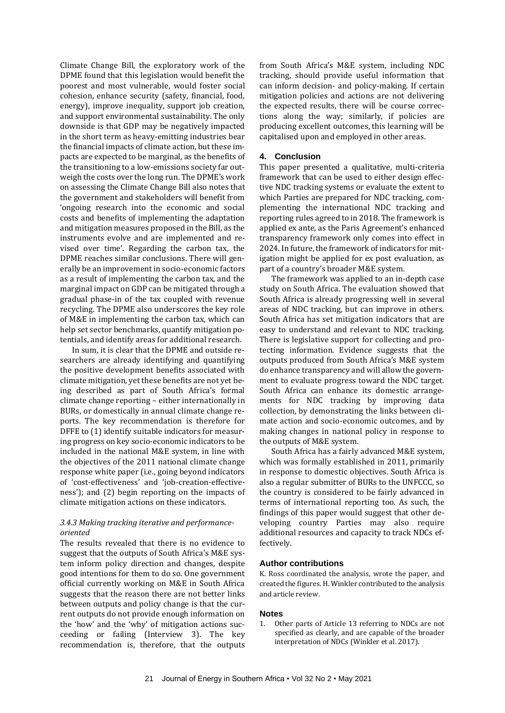Climate Change Bill, the exploratory work of the DPME found that this legislation would benefit the poorest and most vulnerable, would foster social cohesion, enhance security (safety, financial, food, energy), improve inequality, support job creation, and support environmental sustainability. The only downside is that GDP may be negatively impacted in the short term as heavy-emitting industries bear the financial impacts of climate action, but these impacts are expected to be marginal, as the benefits of the transitioning to a low-emissions society far outweigh the costs over the long run. The DPME's work on assessing the Climate Change Bill also notes that the government and stakeholders will benefit from 'ongoing research into the economic and social costs and benefits of implementing the adaptation and mitigation measures proposed in the Bill, as the instruments evolve and are implemented and revised over time'. Regarding the carbon tax, the DPME reaches similar conclusions. There will generally be an improvement in socio-economic factors as a result of implementing the carbon tax, and the marginal impact on GDP can be mitigated through a gradual phase-in of the tax coupled with revenue recycling. The DPME also underscores the key role of M&E in implementing the carbon tax, which can help set sector benchmarks, quantify mitigation potentials, and identify areas for additional research.

In sum, it is clear that the DPME and outside researchers are already identifying and quantifying the positive development benefits associated with climate mitigation, yet these benefits are not yet being described as part of South Africa's formal climate change reporting – either internationally in BURs, or domestically in annual climate change reports. The key recommendation is therefore for DFFE to (1) identify suitable indicators for measuring progress on key socio-economic indicators to be included in the national M&E system, in line with the objectives of the 2011 national climate change response white paper (i.e., going beyond indicators of 'cost-effectiveness' and 'job-creation-effectiveness'); and (2) begin reporting on the impacts of climate mitigation actions on these indicators.

#### *3.4.3 Making tracking iterative and performanceoriented*

The results revealed that there is no evidence to suggest that the outputs of South Africa's M&E system inform policy direction and changes, despite good intentions for them to do so. One government official currently working on M&E in South Africa suggests that the reason there are not better links between outputs and policy change is that the current outputs do not provide enough information on the 'how' and the 'why' of mitigation actions succeeding or failing (Interview 3). The key recommendation is, therefore, that the outputs from South Africa's M&E system, including NDC tracking, should provide useful information that can inform decision- and policy-making. If certain mitigation policies and actions are not delivering the expected results, there will be course corrections along the way; similarly, if policies are producing excellent outcomes, this learning will be capitalised upon and employed in other areas.

## **4. Conclusion**

This paper presented a qualitative, multi-criteria framework that can be used to either design effective NDC tracking systems or evaluate the extent to which Parties are prepared for NDC tracking, complementing the international NDC tracking and reporting rules agreed to in 2018. The framework is applied ex ante, as the Paris Agreement's enhanced transparency framework only comes into effect in 2024. In future, the framework of indicators for mitigation might be applied for ex post evaluation, as part of a country's broader M&E system.

The framework was applied to an in-depth case study on South Africa. The evaluation showed that South Africa is already progressing well in several areas of NDC tracking, but can improve in others. South Africa has set mitigation indicators that are easy to understand and relevant to NDC tracking. There is legislative support for collecting and protecting information. Evidence suggests that the outputs produced from South Africa's M&E system do enhance transparency and will allow the government to evaluate progress toward the NDC target. South Africa can enhance its domestic arrangements for NDC tracking by improving data collection, by demonstrating the links between climate action and socio-economic outcomes, and by making changes in national policy in response to the outputs of M&E system.

South Africa has a fairly advanced M&E system, which was formally established in 2011, primarily in response to domestic objectives. South Africa is also a regular submitter of BURs to the UNFCCC, so the country is considered to be fairly advanced in terms of international reporting too. As such, the findings of this paper would suggest that other developing country Parties may also require additional resources and capacity to track NDCs effectively.

## **Author contributions**

K. Ross coordinated the analysis, wrote the paper, and created the figures. H. Winkler contributed to the analysis and article review.

#### **Notes**

1. Other parts of Article 13 referring to NDCs are not specified as clearly, and are capable of the broader interpretation of NDCs (Winkler et al. 2017).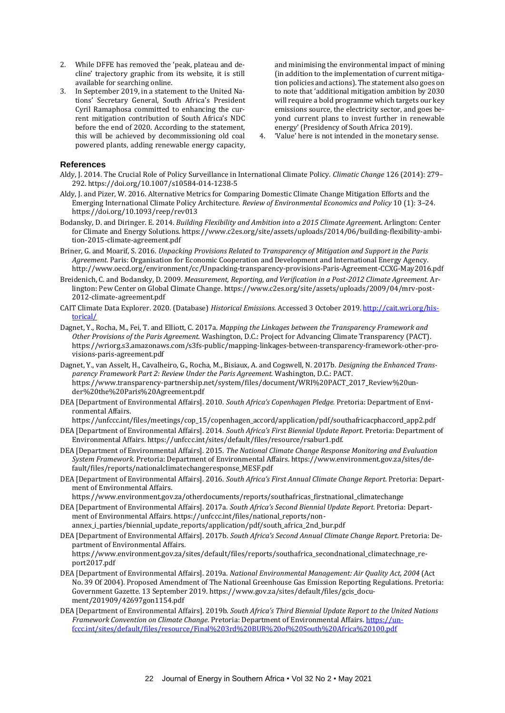- 2. While DFFE has removed the 'peak, plateau and decline' trajectory graphic from its website, it is still available for searching online.
- 3. In September 2019, in a statement to the United Nations' Secretary General, South Africa's President Cyril Ramaphosa committed to enhancing the current mitigation contribution of South Africa's NDC before the end of 2020. According to the statement, this will be achieved by decommissioning old coal powered plants, adding renewable energy capacity,

and minimising the environmental impact of mining (in addition to the implementation of current mitigation policies and actions). The statement also goes on to note that 'additional mitigation ambition by 2030 will require a bold programme which targets our key emissions source, the electricity sector, and goes beyond current plans to invest further in renewable energy' (Presidency of South Africa 2019).

4. 'Value' here is not intended in the monetary sense.

#### **References**

- Aldy, J. 2014. The Crucial Role of Policy Surveillance in International Climate Policy. *Climatic Change* 126 (2014): 279– 292. https://doi.org/10.1007/s10584-014-1238-5
- Aldy, J. and Pizer, W. 2016. Alternative Metrics for Comparing Domestic Climate Change Mitigation Efforts and the Emerging International Climate Policy Architecture. *Review of Environmental Economics and Policy* 10 (1): 3–24. https://doi.org/10.1093/reep/rev013
- Bodansky, D. and Diringer. E. 2014. *Building Flexibility and Ambition into a 2015 Climate Agreemen*t. Arlington: Center for Climate and Energy Solutions. https://www.c2es.org/site/assets/uploads/2014/06/building-flexibility-ambition-2015-climate-agreement.pdf
- Briner, G. and Moarif, S. 2016. *Unpacking Provisions Related to Transparency of Mitigation and Support in the Paris Agreement*. Paris: Organisation for Economic Cooperation and Development and International Energy Agency. http://www.oecd.org/environment/cc/Unpacking-transparency-provisions-Paris-Agreement-CCXG-May2016.pdf
- Breidenich, C. and Bodansky, D. 2009. *Measurement, Reporting, and Verification in a Post-2012 Climate Agreement.* Arlington: Pew Center on Global Climate Change. https://www.c2es.org/site/assets/uploads/2009/04/mrv-post-2012-climate-agreement.pdf
- CAIT Climate Data Explorer. 2020. (Database) *Historical Emissions.* Accessed 3 October 2019[. http://cait.wri.org/his](http://cait.wri.org/historical/)[torical/](http://cait.wri.org/historical/)
- Dagnet, Y., Rocha, M., Fei, T. and Elliott, C. 2017a. *Mapping the Linkages between the Transparency Framework and Other Provisions of the Paris Agreement.* Washington, D.C.: Project for Advancing Climate Transparency (PACT). https://wriorg.s3.amazonaws.com/s3fs-public/mapping-linkages-between-transparency-framework-other-provisions-paris-agreement.pdf
- Dagnet, Y., van Asselt, H., Cavalheiro, G., Rocha, M., Bisiaux, A. and Cogswell, N. 2017b. *Designing the Enhanced Transparency Framework Part 2: Review Under the Paris Agreement.* Washington, D.C.: PACT. https://www.transparency-partnership.net/system/files/document/WRI%20PACT\_2017\_Review%20under%20the%20Paris%20Agreement.pdf
- DEA [Department of Environmental Affairs]. 2010. *South Africa's Copenhagen Pledge.* Pretoria: Department of Environmental Affairs.

https://unfccc.int/files/meetings/cop\_15/copenhagen\_accord/application/pdf/southafricacphaccord\_app2.pdf

- DEA [Department of Environmental Affairs]. 2014. *South Africa's First Biennial Update Report.* Pretoria: Department of Environmental Affairs. https://unfccc.int/sites/default/files/resource/rsabur1.pdf.
- DEA [Department of Environmental Affairs]. 2015. *The National Climate Change Response Monitoring and Evaluation System Framework.* Pretoria: Department of Environmental Affairs. https://www.environment.gov.za/sites/default/files/reports/nationalclimatechangeresponse\_MESF.pdf
- DEA [Department of Environmental Affairs]. 2016. *South Africa's First Annual Climate Change Report.* Pretoria: Department of Environmental Affairs.
	- https://www.environment.gov.za/otherdocuments/reports/southafricas\_firstnational\_climatechange
- DEA [Department of Environmental Affairs]. 2017a. *South Africa's Second Biennial Update Report.* Pretoria: Department of Environmental Affairs. https://unfccc.int/files/national\_reports/nonannex\_i\_parties/biennial\_update\_reports/application/pdf/south\_africa\_2nd\_bur.pdf
- DEA [Department of Environmental Affairs]. 2017b. *South Africa's Second Annual Climate Change Report.* Pretoria: Department of Environmental Affairs. https://www.environment.gov.za/sites/default/files/reports/southafrica\_secondnational\_climatechnage\_report2017.pdf
- DEA [Department of Environmental Affairs]. 2019a. *National Environmental Management: Air Quality Act, 2004* (Act No. 39 Of 2004). Proposed Amendment of The National Greenhouse Gas Emission Reporting Regulations. Pretoria: Government Gazette. 13 September 2019. https://www.gov.za/sites/default/files/gcis\_document/201909/42697gon1154.pdf
- DEA [Department of Environmental Affairs]. 2019b. *South Africa's Third Biennial Update Report to the United Nations Framework Convention on Climate Change*. Pretoria: Department of Environmental Affairs. [https://un](https://unfccc.int/sites/default/files/resource/Final%203rd%20BUR%20of%20South%20Africa%20100.pdf)[fccc.int/sites/default/files/resource/Final%203rd%20BUR%20of%20South%20Africa%20100.pdf](https://unfccc.int/sites/default/files/resource/Final%203rd%20BUR%20of%20South%20Africa%20100.pdf)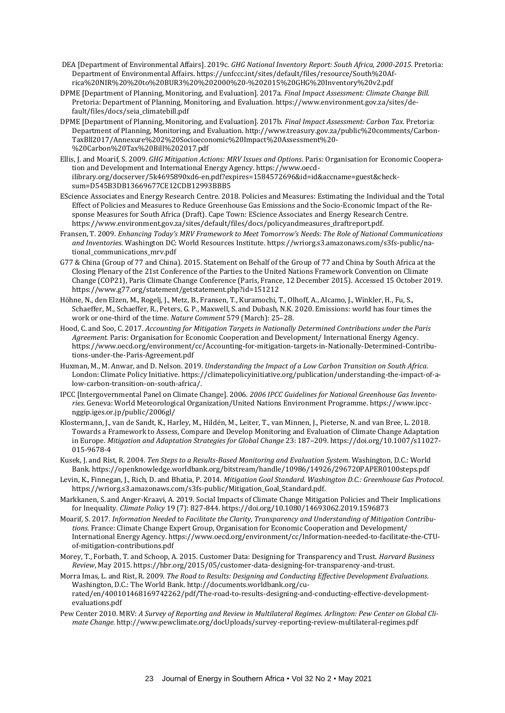- DEA [Department of Environmental Affairs]. 2019c. *GHG National Inventory Report: South Africa, 2000-2015.* Pretoria: Department of Environmental Affairs. https://unfccc.int/sites/default/files/resource/South%20Africa%20NIR%20%20to%20BUR3%20%202000%20-%202015%20GHG%20Inventory%20v2.pdf
- DPME [Department of Planning, Monitoring, and Evaluation]. 2017a. *Final Impact Assessment: Climate Change Bill.*  Pretoria: Department of Planning, Monitoring, and Evaluation. https://www.environment.gov.za/sites/default/files/docs/seia\_climatebill.pdf
- DPME [Department of Planning, Monitoring, and Evaluation]. 2017b. *Final Impact Assessment: Carbon Tax.* Pretoria: Department of Planning, Monitoring, and Evaluation. http://www.treasury.gov.za/public%20comments/Carbon-TaxBll2017/Annexure%202%20Socioeconomic%20Impact%20Assessment%20- %20Carbon%20Tax%20Bill%202017.pdf
- Ellis, J. and Moarif, S. 2009. *GHG Mitigation Actions: MRV Issues and Options*. Paris: Organisation for Economic Cooperation and Development and International Energy Agency. https://www.oecdilibrary.org/docserver/5k4695890xd6-en.pdf?expires=1584572696&id=id&accname=guest&checksum=D545B3DB13669677CE12CDB12993BBB5
- EScience Associates and Energy Research Centre. 2018. Policies and Measures: Estimating the Individual and the Total Effect of Policies and Measures to Reduce Greenhouse Gas Emissions and the Socio-Economic Impact of the Response Measures for South Africa (Draft). Cape Town: EScience Associates and Energy Research Centre. https://www.environment.gov.za/sites/default/files/docs/policyandmeasures\_draftreport.pdf.
- Fransen, T. 2009. *Enhancing Today's MRV Framework to Meet Tomorrow's Needs: The Role of National Communications and Inventories.* Washington DC: World Resources Institute. https://wriorg.s3.amazonaws.com/s3fs-public/national\_communications\_mrv.pdf
- G77 & China (Group of 77 and China). 2015. Statement on Behalf of the Group of 77 and China by South Africa at the Closing Plenary of the 21st Conference of the Parties to the United Nations Framework Convention on Climate Change (COP21), Paris Climate Change Conference (Paris, France, 12 December 2015). Accessed 15 October 2019. https://www.g77.org/statement/getstatement.php?id=151212
- Höhne, N., den Elzen, M., Rogelj, J., Metz, B., Fransen, T., Kuramochi, T., Olhoff, A., Alcamo, J., Winkler, H., Fu, S., Schaeffer, M., Schaeffer, R., Peters, G. P., Maxwell, S. and Dubash, N.K. 2020. Emissions: world has four times the work or one-third of the time. *Nature Comment* 579 (March): 25–28.
- Hood, C. and Soo, C. 2017. *Accounting for Mitigation Targets in Nationally Determined Contributions under the Paris Agreement.* Paris: Organisation for Economic Cooperation and Development/ International Energy Agency. https://www.oecd.org/environment/cc/Accounting-for-mitigation-targets-in-Nationally-Determined-Contributions-under-the-Paris-Agreement.pdf
- Huxman, M., M. Anwar, and D. Nelson. 2019. *Understanding the Impact of a Low Carbon Transition on South Africa.* London: Climate Policy Initiative. https://climatepolicyinitiative.org/publication/understanding-the-impact-of-alow-carbon-transition-on-south-africa/.
- IPCC [Intergovernmental Panel on Climate Change]. 2006. *2006 IPCC Guidelines for National Greenhouse Gas Inventories.* Geneva: World Meteorological Organization/United Nations Environment Programme. https://www.ipccnggip.iges.or.jp/public/2006gl/
- Klostermann, J., van de Sandt, K., Harley, M., Hildén, M., Leiter, T., van Minnen, J., Pieterse, N. and van Bree, L. 2018. Towards a Framework to Assess, Compare and Develop Monitoring and Evaluation of Climate Change Adaptation in Europe. *Mitigation and Adaptation Strategies for Global Change* 23: 187–209. https://doi.org/10.1007/s11027- 015-9678-4
- Kusek, J. and Rist, R. 2004. *Ten Steps to a Results-Based Monitoring and Evaluation System.* Washington, D.C.: World Bank. https://openknowledge.worldbank.org/bitstream/handle/10986/14926/296720PAPER0100steps.pdf
- Levin, K., Finnegan, J., Rich, D. and Bhatia, P. 2014. *Mitigation Goal Standard. Washington D.C.: Greenhouse Gas Protocol*. https://wriorg.s3.amazonaws.com/s3fs-public/Mitigation\_Goal\_Standard.pdf.
- Markkanen, S. and Anger-Kraavi, A. 2019. Social Impacts of Climate Change Mitigation Policies and Their Implications for Inequality. *Climate Policy* 19 (7): 827-844. https://doi.org/10.1080/14693062.2019.1596873
- Moarif, S. 2017*. Information Needed to Facilitate the Clarity, Transparency and Understanding of Mitigation Contributions.* France: Climate Change Expert Group, Organisation for Economic Cooperation and Development/ International Energy Agency. https://www.oecd.org/environment/cc/Information-needed-to-facilitate-the-CTUof-mitigation-contributions.pdf
- Morey, T., Forbath, T. and Schoop, A. 2015. Customer Data: Designing for Transparency and Trust. *Harvard Business Review*, May 2015. https://hbr.org/2015/05/customer-data-designing-for-transparency-and-trust.
- Morra Imas, L. and Rist, R. 2009. *The Road to Results: Designing and Conducting Effective Development Evaluations.*  Washington, D.C.: The World Bank. http://documents.worldbank.org/curated/en/400101468169742262/pdf/The-road-to-results-designing-and-conducting-effective-developmentevaluations.pdf
- Pew Center 2010. MRV: *A Survey of Reporting and Review in Multilateral Regimes. Arlington: Pew Center on Global Climate Change.* http://www.pewclimate.org/docUploads/survey-reporting-review-multilateral-regimes.pdf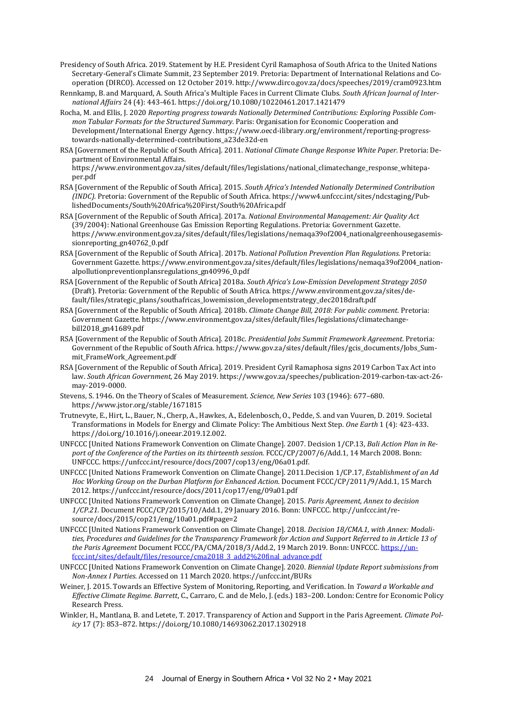- Presidency of South Africa. 2019. Statement by H.E. President Cyril Ramaphosa of South Africa to the United Nations Secretary-General's Climate Summit, 23 September 2019. Pretoria: Department of International Relations and Cooperation (DIRCO). Accessed on 12 October 2019. http://www.dirco.gov.za/docs/speeches/2019/cram0923.htm
- Rennkamp, B. and Marquard, A. South Africa's Multiple Faces in Current Climate Clubs*. South African Journal of International Affairs* 24 (4): 443-461. https://doi.org/10.1080/10220461.2017.1421479
- Rocha, M. and Ellis, J. 2020 *Reporting progress towards Nationally Determined Contributions: Exploring Possible Common Tabular Formats for the Structured Summary.* Paris: Organisation for Economic Cooperation and Development/International Energy Agency. https://www.oecd-ilibrary.org/environment/reporting-progresstowards-nationally-determined-contributions\_a23de32d-en
- RSA [Government of the Republic of South Africa]. 2011. *National Climate Change Response White Paper.* Pretoria: Department of Environmental Affairs. https://www.environment.gov.za/sites/default/files/legislations/national\_climatechange\_response\_whitepa-
- per.pdf RSA [Government of the Republic of South Africa]. 2015. *South Africa's Intended Nationally Determined Contribution (INDC).* Pretoria: Government of the Republic of South Africa. https://www4.unfccc.int/sites/ndcstaging/Pub-
- lishedDocuments/South%20Africa%20First/South%20Africa.pdf RSA [Government of the Republic of South Africa]. 2017a. *National Environmental Management: Air Quality Act*  (39/2004): National Greenhouse Gas Emission Reporting Regulations. Pretoria: Government Gazette. https://www.environment.gov.za/sites/default/files/legislations/nemaqa39of2004\_nationalgreenhousegasemissionreporting\_gn40762\_0.pdf
- RSA [Government of the Republic of South Africa]. 2017b. *National Pollution Prevention Plan Regulations.* Pretoria: Government Gazette. https://www.environment.gov.za/sites/default/files/legislations/nemaqa39of2004\_nationalpollutionpreventionplansregulations\_gn40996\_0.pdf
- RSA [Government of the Republic of South Africa] 2018a. *South Africa's Low-Emission Development Strategy 2050* (Draft). Pretoria: Government of the Republic of South Africa. https://www.environment.gov.za/sites/default/files/strategic\_plans/southafricas\_lowemission\_developmentstrategy\_dec2018draft.pdf
- RSA [Government of the Republic of South Africa]. 2018b. *Climate Change Bill, 2018: For public comment.* Pretoria: Government Gazette. https://www.environment.gov.za/sites/default/files/legislations/climatechangebill2018\_gn41689.pdf
- RSA [Government of the Republic of South Africa]. 2018c. *Presidential Jobs Summit Framework Agreement.* Pretoria: Government of the Republic of South Africa. https://www.gov.za/sites/default/files/gcis\_documents/Jobs\_Summit\_FrameWork\_Agreement.pdf
- RSA [Government of the Republic of South Africa]. 2019. President Cyril Ramaphosa signs 2019 Carbon Tax Act into law. *South African Government,* 26 May 2019. https://www.gov.za/speeches/publication-2019-carbon-tax-act-26 may-2019-0000.
- Stevens, S. 1946. On the Theory of Scales of Measurement. *Science, New Series* 103 (1946): 677–680. https://www.jstor.org/stable/1671815
- Trutnevyte, E., Hirt, L., Bauer, N., Cherp, A., Hawkes, A., Edelenbosch, O., Pedde, S. and van Vuuren, D. 2019. Societal Transformations in Models for Energy and Climate Policy: The Ambitious Next Step. *One Earth* 1 (4): 423-433. https://doi.org/10.1016/j.oneear.2019.12.002.
- UNFCCC [United Nations Framework Convention on Climate Change]. 2007. Decision 1/CP.13, *Bali Action Plan in Report of the Conference of the Parties on its thirteenth session.* FCCC/CP/2007/6/Add.1, 14 March 2008. Bonn: UNFCCC. https://unfccc.int/resource/docs/2007/cop13/eng/06a01.pdf.
- UNFCCC [United Nations Framework Convention on Climate Change]. 2011.Decision 1/CP.17, *Establishment of an Ad Hoc Working Group on the Durban Platform for Enhanced Action*. Document FCCC/CP/2011/9/Add.1, 15 March 2012. https://unfccc.int/resource/docs/2011/cop17/eng/09a01.pdf
- UNFCCC [United Nations Framework Convention on Climate Change]. 2015. *Paris Agreement, Annex to decision 1/CP.21.* Document FCCC/CP/2015/10/Add.1, 29 January 2016. Bonn: UNFCCC. http://unfccc.int/resource/docs/2015/cop21/eng/10a01.pdf#page=2
- UNFCCC [United Nations Framework Convention on Climate Change]. 2018. *Decision 18/CMA.1, with Annex: Modalities, Procedures and Guidelines for the Transparency Framework for Action and Support Referred to in Article 13 of the Paris Agreement* Document FCCC/PA/CMA/2018/3/Add.2, 19 March 2019. Bonn: UNFCCC[. https://un](https://unfccc.int/sites/default/files/resource/cma2018_3_add2%2520final_advance.pdf)[fccc.int/sites/default/files/resource/cma2018\\_3\\_add2%20final\\_advance.pdf](https://unfccc.int/sites/default/files/resource/cma2018_3_add2%2520final_advance.pdf)
- UNFCCC [United Nations Framework Convention on Climate Change]. 2020. *Biennial Update Report submissions from Non-Annex I Parties*. Accessed on 11 March 2020. https://unfccc.int/BURs
- Weiner, J. 2015. Towards an Effective System of Monitoring, Reporting, and Verification. In *Toward a Workable and Effective Climate Regime. Barrett*, C., Carraro, C. and de Melo, J. (eds.) 183–200. London: Centre for Economic Policy Research Press.
- Winkler, H., Mantlana, B. and Letete, T. 2017. Transparency of Action and Support in the Paris Agreement. *Climate Policy* 17 (7): 853–872. https://doi.org/10.1080/14693062.2017.1302918